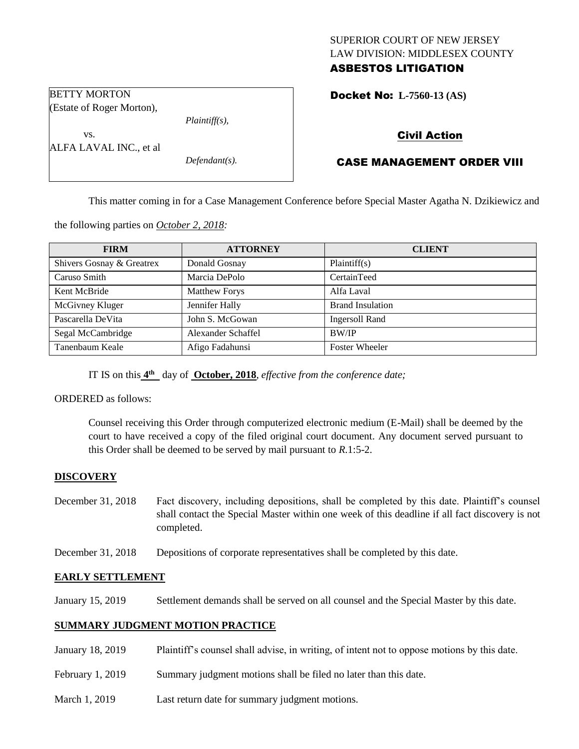# SUPERIOR COURT OF NEW JERSEY LAW DIVISION: MIDDLESEX COUNTY ASBESTOS LITIGATION

Docket No: **L-7560-13 (AS)** 

(Estate of Roger Morton), *Plaintiff(s),*

*Defendant(s).*

# Civil Action

# CASE MANAGEMENT ORDER VIII

This matter coming in for a Case Management Conference before Special Master Agatha N. Dzikiewicz and

the following parties on *October 2, 2018:*

| <b>FIRM</b>               | <b>ATTORNEY</b>      | <b>CLIENT</b>           |
|---------------------------|----------------------|-------------------------|
| Shivers Gosnay & Greatrex | Donald Gosnay        | Plaintiff(s)            |
| Caruso Smith              | Marcia DePolo        | CertainTeed             |
| Kent McBride              | <b>Matthew Forys</b> | Alfa Laval              |
| McGivney Kluger           | Jennifer Hally       | <b>Brand Insulation</b> |
| Pascarella DeVita         | John S. McGowan      | Ingersoll Rand          |
| Segal McCambridge         | Alexander Schaffel   | BW/IP                   |
| Tanenbaum Keale           | Afigo Fadahunsi      | <b>Foster Wheeler</b>   |

IT IS on this  $4^{\text{th}}$  day of **October, 2018**, *effective from the conference date*;

ORDERED as follows:

BETTY MORTON

vs.

ALFA LAVAL INC., et al

Counsel receiving this Order through computerized electronic medium (E-Mail) shall be deemed by the court to have received a copy of the filed original court document. Any document served pursuant to this Order shall be deemed to be served by mail pursuant to *R*.1:5-2.

# **DISCOVERY**

- December 31, 2018 Fact discovery, including depositions, shall be completed by this date. Plaintiff's counsel shall contact the Special Master within one week of this deadline if all fact discovery is not completed.
- December 31, 2018 Depositions of corporate representatives shall be completed by this date.

# **EARLY SETTLEMENT**

January 15, 2019 Settlement demands shall be served on all counsel and the Special Master by this date.

# **SUMMARY JUDGMENT MOTION PRACTICE**

- January 18, 2019 Plaintiff's counsel shall advise, in writing, of intent not to oppose motions by this date.
- February 1, 2019 Summary judgment motions shall be filed no later than this date.
- March 1, 2019 Last return date for summary judgment motions.